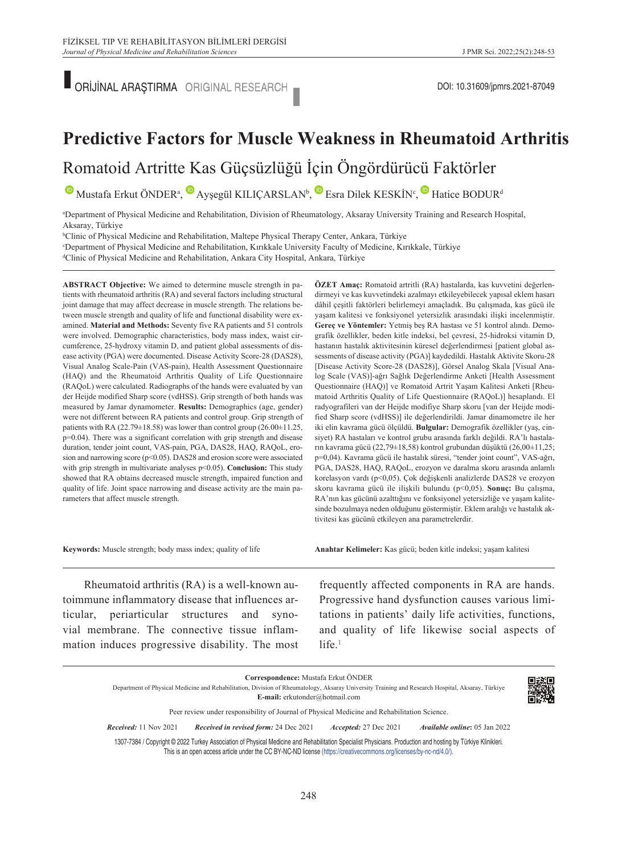ORİJİNAL ARAŞTIRMA ORIGINAL RESEARCH **DOLLA ARAŞTIRMA ORIGINAL RESEARCH** 

# **Predictive Factors for Muscle Weakness in Rheumatoid Arthritis**

Romatoid Artritte Kas Güçsüzlüğü İçin Öngördürücü Faktörler

 $\bullet$ Mustafa Erkut ÖNDER<sup>a</sup>,  $\bullet$  Ayşegül KILIÇARSLAN<sup>b</sup>,  $\bullet$  Esra Dilek KESKİN<sup>c</sup>,  $\bullet$  Hatice BODUR<sup>d</sup>

a Department of Physical Medicine and Rehabilitation, Division of Rheumatology, Aksaray University Training and Research Hospital, Aksaray, Türkiye

b Clinic of Physical Medicine and Rehabilitation, Maltepe Physical Therapy Center, Ankara, Türkiye

"Department of Physical Medicine and Rehabilitation, Kırıkkale University Faculty of Medicine, Kırıkkale, Türkiye<br>"Clinic of Physical Medicine and Rehabilitation, Ankara City Hospital, Ankara, Türkiye

Clinic of Physical Medicine and Rehabilitation, Ankara City Hospital, Ankara, Türkiye

**ABS TRACT Objective:** We aimed to determine muscle strength in patients with rheumatoid arthritis (RA) and several factors including structural joint damage that may affect decrease in muscle strength. The relations between muscle strength and quality of life and functional disability were examined. **Material and Methods:** Seventy five RA patients and 51 controls were involved. Demographic characteristics, body mass index, waist circumference, 25-hydroxy vitamin D, and patient global assessments of disease activity (PGA) were documented. Disease Activity Score-28 (DAS28), Visual Analog Scale-Pain (VAS-pain), Health Assessment Questionnaire (HAQ) and the Rheumatoid Arthritis Quality of Life Questionnaire (RAQoL) were calculated. Radiographs of the hands were evaluated by van der Heijde modified Sharp score (vdHSS). Grip strength of both hands was measured by Jamar dynamometer. **Results:** Demographics (age, gender) were not different between RA patients and control group. Grip strength of patients with RA (22.79 $\pm$ 18.58) was lower than control group (26.00 $\pm$ 11.25, p=0.04). There was a significant correlation with grip strength and disease duration, tender joint count, VAS-pain, PGA, DAS28, HAQ, RAQoL, erosion and narrowing score (p<0.05). DAS28 and erosion score were associated with grip strength in multivariate analyses p<0.05). **Conclusion:** This study showed that RA obtains decreased muscle strength, impaired function and quality of life. Joint space narrowing and disease activity are the main parameters that affect muscle strength.

**ÖZET Amaç:** Romatoid artritli (RA) hastalarda, kas kuvvetini değerlendirmeyi ve kas kuvvetindeki azalmayı etkileyebilecek yapısal eklem hasarı dâhil çeşitli faktörleri belirlemeyi amaçladık. Bu çalışmada, kas gücü ile yaşam kalitesi ve fonksiyonel yetersizlik arasındaki ilişki incelenmiştir. **Gereç ve Yöntemler:** Yetmiş beş RA hastası ve 51 kontrol alındı. Demografik özellikler, beden kitle indeksi, bel çevresi, 25-hidroksi vitamin D, hastanın hastalık aktivitesinin küresel değerlendirmesi [patient global assessments of disease activity (PGA)] kaydedildi. Hastalık Aktivite Skoru-28 [Disease Activity Score-28 (DAS28)], Görsel Analog Skala [Visual Analog Scale (VAS)]-ağrı Sağlık Değerlendirme Anketi [Health Assessment Questionnaire (HAQ)] ve Romatoid Artrit Yaşam Kalitesi Anketi [Rheumatoid Arthritis Quality of Life Questionnaire (RAQoL)] hesaplandı. El radyografileri van der Heijde modifiye Sharp skoru [van der Heijde modified Sharp score (vdHSS)] ile değerlendirildi. Jamar dinamometre ile her iki elin kavrama gücü ölçüldü. **Bulgular:** Demografik özellikler (yaş, cinsiyet) RA hastaları ve kontrol grubu arasında farklı değildi. RA'lı hastaların kavrama gücü (22,79±18,58) kontrol grubundan düşüktü (26,00±11,25; p=0,04). Kavrama gücü ile hastalık süresi, "tender joint count", VAS-ağrı, PGA, DAS28, HAQ, RAQoL, erozyon ve daralma skoru arasında anlamlı korelasyon vardı (p<0,05). Çok değişkenli analizlerde DAS28 ve erozyon skoru kavrama gücü ile ilişkili bulundu (p<0,05). **Sonuç:** Bu çalışma, RA'nın kas gücünü azalttığını ve fonksiyonel yetersizliğe ve yaşam kalitesinde bozulmaya neden olduğunu göstermiştir. Eklem aralığı ve hastalık aktivitesi kas gücünü etkileyen ana parametrelerdir.

**Keywords:** Muscle strength; body mass index; quality of life

**Anah tar Ke li me ler:** Kas gücü; beden kitle indeksi; yaşam kalitesi

Rheumatoid arthritis (RA) is a well-known autoimmune inflammatory disease that influences articular, periarticular structures and synovial membrane. The connective tissue inflammation induces progressive disability. The most frequently affected components in RA are hands. Progressive hand dysfunction causes various limitations in patients' daily life activities, functions, and quality of life likewise social aspects of  $life.$ <sup>1</sup>

|                              | Correspondence: Mustafa Erkut ÖNDER<br>Department of Physical Medicine and Rehabilitation, Division of Rheumatology, Aksaray University Training and Research Hospital, Aksaray, Türkiye<br>E-mail: erkutonder@hotmail.com |                       |                                      |
|------------------------------|----------------------------------------------------------------------------------------------------------------------------------------------------------------------------------------------------------------------------|-----------------------|--------------------------------------|
|                              | Peer review under responsibility of Journal of Physical Medicine and Rehabilitation Science.                                                                                                                               |                       |                                      |
| <b>Received:</b> 11 Nov 2021 | Received in revised form: 24 Dec 2021                                                                                                                                                                                      | Accepted: 27 Dec 2021 | <i>Available online:</i> 05 Jan 2022 |

This is an open access article under the CC BY-NC-ND license [\(https://creativecommons.org/licenses/by-nc-nd/4.0/\)](https://creativecommons.org/licenses/by-nc-nd/4.0/).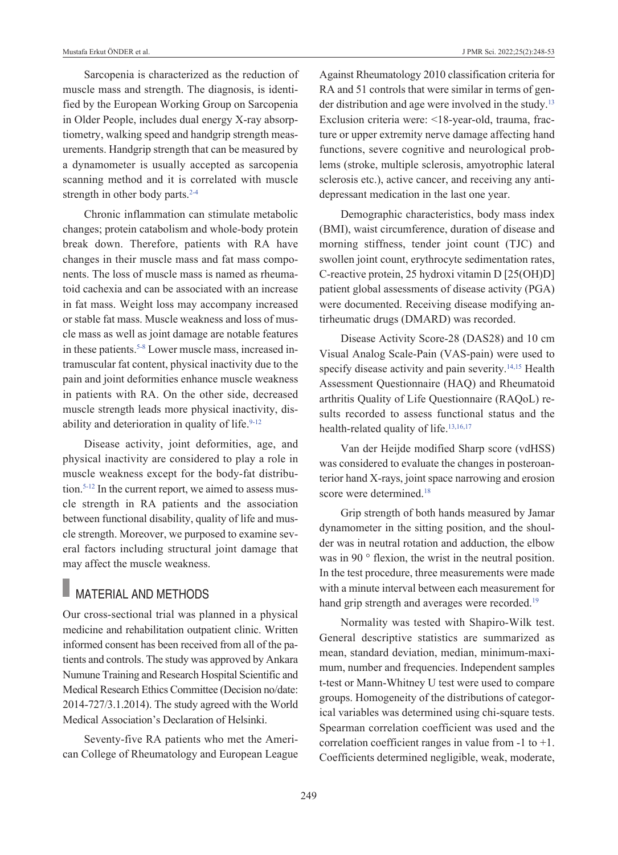Sarcopenia is characterized as the reduction of muscle mass and strength. The diagnosis, is identified by the European Working Group on Sarcopenia in Older People, includes dual energy X-ray absorptiometry, walking speed and handgrip strength measurements. Handgrip strength that can be measured by a dynamometer is usually accepted as sarcopenia scanning method and it is correlated with muscle strength in other body parts.<sup>2-4</sup>

Chronic inflammation can stimulate metabolic changes; protein catabolism and whole-body protein break down. Therefore, patients with RA have changes in their muscle mass and fat mass components. The loss of muscle mass is named as rheumatoid cachexia and can be associated with an increase in fat mass. Weight loss may accompany increased or stable fat mass. Muscle weakness and loss of muscle mass as well as joint damage are notable features in these patients.<sup>5-8</sup> Lower muscle mass, increased intramuscular fat content, physical inactivity due to the pain and joint deformities enhance muscle weakness in patients with RA. On the other side, decreased muscle strength leads more physical inactivity, disability and deterioration in quality of life.<sup>9-12</sup>

Disease activity, joint deformities, age, and physical inactivity are considered to play a role in muscle weakness except for the body-fat distribution.<sup>5-12</sup> In the current report, we aimed to assess muscle strength in RA patients and the association between functional disability, quality of life and muscle strength. Moreover, we purposed to examine several factors including structural joint damage that may affect the muscle weakness.

## MATERIAL AND METHODS

Our cross-sectional trial was planned in a physical medicine and rehabilitation outpatient clinic. Written informed consent has been received from all of the patients and controls. The study was approved by Ankara Numune Training and Research Hospital Scientific and Medical Research Ethics Committee (Decision no/date: 2014-727/3.1.2014). The study agreed with the World Medical Association's Declaration of Helsinki.

Seventy-five RA patients who met the American College of Rheumatology and European League Against Rheumatology 2010 classification criteria for RA and 51 controls that were similar in terms of gender distribution and age were involved in the study.<sup>13</sup> Exclusion criteria were: <18-year-old, trauma, fracture or upper extremity nerve damage affecting hand functions, severe cognitive and neurological problems (stroke, multiple sclerosis, amyotrophic lateral sclerosis etc.), active cancer, and receiving any antidepressant medication in the last one year.

Demographic characteristics, body mass index (BMI), waist circumference, duration of disease and morning stiffness, tender joint count (TJC) and swollen joint count, erythrocyte sedimentation rates, C-reactive protein, 25 hydroxi vitamin D [25(OH)D] patient global assessments of disease activity (PGA) were documented. Receiving disease modifying antirheumatic drugs (DMARD) was recorded.

Disease Activity Score-28 (DAS28) and 10 cm Visual Analog Scale-Pain (VAS-pain) were used to specify disease activity and pain severity.<sup>14,15</sup> Health Assessment Questionnaire (HAQ) and Rheumatoid arthritis Quality of Life Questionnaire (RAQoL) results recorded to assess functional status and the health-related quality of life.<sup>13,16,17</sup>

Van der Heijde modified Sharp score (vdHSS) was considered to evaluate the changes in posteroanterior hand X-rays, joint space narrowing and erosion score were determined.<sup>18</sup>

Grip strength of both hands measured by Jamar dynamometer in the sitting position, and the shoulder was in neutral rotation and adduction, the elbow was in 90 ° flexion, the wrist in the neutral position. In the test procedure, three measurements were made with a minute interval between each measurement for hand grip strength and averages were recorded.<sup>19</sup>

Normality was tested with Shapiro-Wilk test. General descriptive statistics are summarized as mean, standard deviation, median, minimum-maximum, number and frequencies. Independent samples t-test or Mann-Whitney U test were used to compare groups. Homogeneity of the distributions of categorical variables was determined using chi-square tests. Spearman correlation coefficient was used and the correlation coefficient ranges in value from  $-1$  to  $+1$ . Coefficients determined negligible, weak, moderate,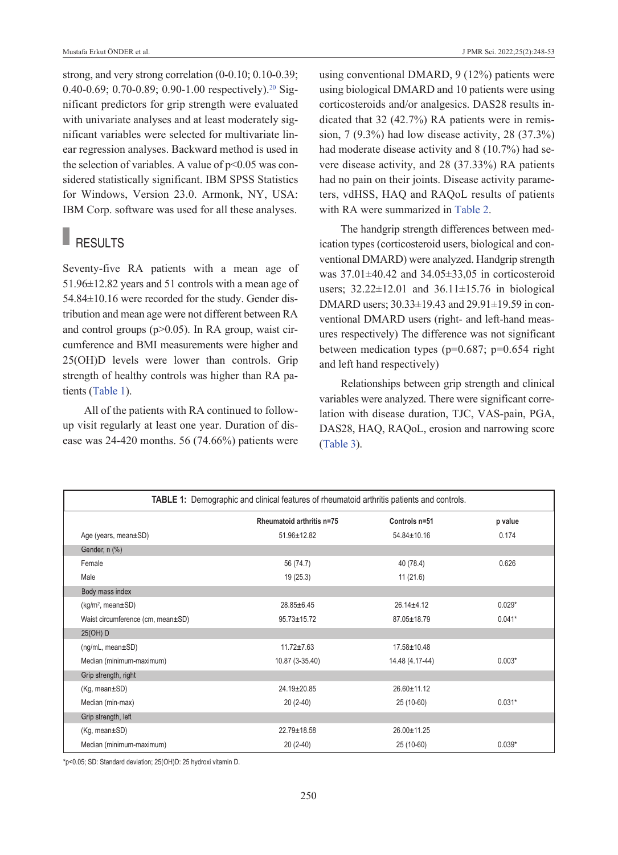strong, and very strong correlation (0-0.10; 0.10-0.39; 0.40-0.69; 0.70-0.89; 0.90-1.00 respectively).<sup>20</sup> Significant predictors for grip strength were evaluated with univariate analyses and at least moderately significant variables were selected for multivariate linear regression analyses. Backward method is used in the selection of variables. A value of  $p<0.05$  was considered statistically significant. IBM SPSS Statistics for Windows, Version 23.0. Armonk, NY, USA: IBM Corp. software was used for all these analyses.

## RESULTS

Seventy-five RA patients with a mean age of 51.96±12.82 years and 51 controls with a mean age of 54.84±10.16 were recorded for the study. Gender distribution and mean age were not different between RA and control groups (p>0.05). In RA group, waist circumference and BMI measurements were higher and 25(OH)D levels were lower than controls. Grip strength of healthy controls was higher than RA patients [\(Table 1\)](#page-2-0).

All of the patients with RA continued to followup visit regularly at least one year. Duration of disease was 24-420 months. 56 (74.66%) patients were using conventional DMARD, 9 (12%) patients were using biological DMARD and 10 patients were using corticosteroids and/or analgesics. DAS28 results indicated that 32 (42.7%) RA patients were in remission, 7 (9.3%) had low disease activity, 28 (37.3%) had moderate disease activity and 8 (10.7%) had severe disease activity, and 28 (37.33%) RA patients had no pain on their joints. Disease activity parameters, vdHSS, HAQ and RAQoL results of patients with RA were summarized in [Table 2.](#page-3-0)

The handgrip strength differences between medication types (corticosteroid users, biological and conventional DMARD) were analyzed. Handgrip strength was 37.01±40.42 and 34.05±33,05 in corticosteroid users; 32.22±12.01 and 36.11±15.76 in biological DMARD users; 30.33±19.43 and 29.91±19.59 in conventional DMARD users (right- and left-hand measures respectively) The difference was not significant between medication types ( $p=0.687$ ;  $p=0.654$  right and left hand respectively)

<span id="page-2-0"></span>Relationships between grip strength and clinical variables were analyzed. There were significant correlation with disease duration, TJC, VAS-pain, PGA, DAS28, HAQ, RAQoL, erosion and narrowing score [\(Table 3\)](#page-3-1).

| <b>TABLE 1:</b> Demographic and clinical features of rheumatoid arthritis patients and controls. |                           |                   |          |  |  |
|--------------------------------------------------------------------------------------------------|---------------------------|-------------------|----------|--|--|
|                                                                                                  | Rheumatoid arthritis n=75 | Controls n=51     | p value  |  |  |
| Age (years, mean±SD)                                                                             | $51.96 \pm 12.82$         | $54.84 \pm 10.16$ | 0.174    |  |  |
| Gender, n (%)                                                                                    |                           |                   |          |  |  |
| Female                                                                                           | 56 (74.7)                 | 40 (78.4)         | 0.626    |  |  |
| Male                                                                                             | 19(25.3)                  | 11(21.6)          |          |  |  |
| Body mass index                                                                                  |                           |                   |          |  |  |
| $(kg/m^2, mean \pm SD)$                                                                          | $28.85 \pm 6.45$          | $26.14 + 4.12$    | $0.029*$ |  |  |
| Waist circumference (cm, mean±SD)                                                                | $95.73 \pm 15.72$         | 87.05±18.79       | $0.041*$ |  |  |
| 25(OH) D                                                                                         |                           |                   |          |  |  |
| $(ng/mL, mean \pm SD)$                                                                           | $11.72 + 7.63$            | $17.58 \pm 10.48$ |          |  |  |
| Median (minimum-maximum)                                                                         | 10.87 (3-35.40)           | 14.48 (4.17-44)   | $0.003*$ |  |  |
| Grip strength, right                                                                             |                           |                   |          |  |  |
| $(Kg, mean \pm SD)$                                                                              | $24.19 \pm 20.85$         | 26.60±11.12       |          |  |  |
| Median (min-max)                                                                                 | $20(2-40)$                | 25 (10-60)        | $0.031*$ |  |  |
| Grip strength, left                                                                              |                           |                   |          |  |  |
| $(Kg, mean \pm SD)$                                                                              | $22.79 \pm 18.58$         | 26.00±11.25       |          |  |  |
| Median (minimum-maximum)                                                                         | $20(2-40)$                | 25 (10-60)        | $0.039*$ |  |  |

\*p<0.05; SD: Standard deviation; 25(OH)D: 25 hydroxi vitamin D.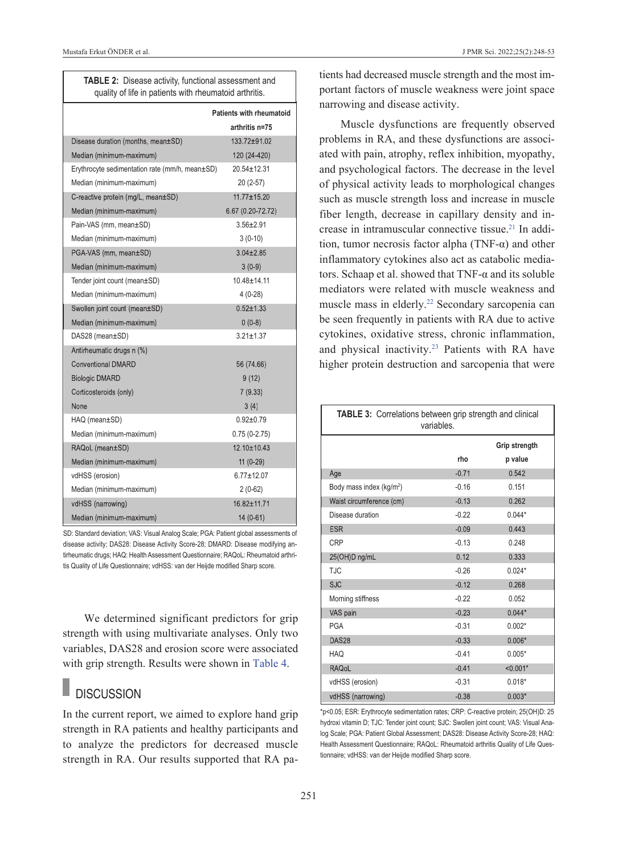<span id="page-3-1"></span><span id="page-3-0"></span>

|  |  | J PMR Sci. 2022;25(2):248-53 |  |  |  |
|--|--|------------------------------|--|--|--|
|--|--|------------------------------|--|--|--|

| <b>TABLE 2:</b> Disease activity, functional assessment and |  |  |  |  |
|-------------------------------------------------------------|--|--|--|--|
| quality of life in patients with rheumatoid arthritis.      |  |  |  |  |

|                                                | Patients with rheumatoid<br>arthritis n=75 |
|------------------------------------------------|--------------------------------------------|
|                                                |                                            |
| Disease duration (months, mean±SD)             | 133.72±91.02                               |
| Median (minimum-maximum)                       | 120 (24-420)                               |
| Erythrocyte sedimentation rate (mm/h, mean±SD) | $20.54 \pm 12.31$                          |
| Median (minimum-maximum)                       | 20 (2-57)                                  |
| C-reactive protein (mg/L, mean±SD)             | 11.77±15.20                                |
| Median (minimum-maximum)                       | 6.67 (0.20-72.72)                          |
| Pain-VAS (mm, mean±SD)                         | $3.56 \pm 2.91$                            |
| Median (minimum-maximum)                       | $3(0-10)$                                  |
| PGA-VAS (mm, mean±SD)                          | $3.04 \pm 2.85$                            |
| Median (minimum-maximum)                       | $3(0-9)$                                   |
| Tender joint count (mean±SD)                   | $10.48 + 14.11$                            |
| Median (minimum-maximum)                       | $4(0-28)$                                  |
| Swollen joint count (mean±SD)                  | $0.52 + 1.33$                              |
| Median (minimum-maximum)                       | $0(0-8)$                                   |
| DAS28 (mean±SD)                                | $3.21 \pm 1.37$                            |
| Antirheumatic drugs n (%)                      |                                            |
| <b>Conventional DMARD</b>                      | 56 (74.66)                                 |
| <b>Biologic DMARD</b>                          | 9(12)                                      |
| Corticosteroids (only)                         | 7(9.33)                                    |
| None                                           | 3(4)                                       |
| HAQ (mean±SD)                                  | $0.92 + 0.79$                              |
| Median (minimum-maximum)                       | $0.75(0-2.75)$                             |
| RAQoL (mean±SD)                                | 12.10±10.43                                |
| Median (minimum-maximum)                       | $11(0-29)$                                 |
| vdHSS (erosion)                                | $6.77 + 12.07$                             |
| Median (minimum-maximum)                       | $2(0-62)$                                  |
| vdHSS (narrowing)                              | 16.82±11.71                                |
| Median (minimum-maximum)                       | 14 (0-61)                                  |

SD: Standard deviation; VAS: Visual Analog Scale; PGA: Patient global assessments of disease activity; DAS28: Disease Activity Score-28; DMARD: Disease modifying antirheumatic drugs; HAQ: Health Assessment Questionnaire; RAQoL: Rheumatoid arthritis Quality of Life Questionnaire; vdHSS: van der Heijde modified Sharp score.

We determined significant predictors for grip strength with using multivariate analyses. Only two variables, DAS28 and erosion score were associated with grip strength. Results were shown in [Table 4.](#page-4-0)

### **DISCUSSION**

In the current report, we aimed to explore hand grip strength in RA patients and healthy participants and to analyze the predictors for decreased muscle strength in RA. Our results supported that RA patients had decreased muscle strength and the most important factors of muscle weakness were joint space narrowing and disease activity.

Muscle dysfunctions are frequently observed problems in RA, and these dysfunctions are associated with pain, atrophy, reflex inhibition, myopathy, and psychological factors. The decrease in the level of physical activity leads to morphological changes such as muscle strength loss and increase in muscle fiber length, decrease in capillary density and increase in intramuscular connective tissue.<sup>21</sup> In addition, tumor necrosis factor alpha (TNF- $\alpha$ ) and other inflammatory cytokines also act as catabolic mediators. Schaap et al. showed that  $TNF-\alpha$  and its soluble mediators were related with muscle weakness and muscle mass in elderly[.22](#page-5-0) Secondary sarcopenia can be seen frequently in patients with RA due to active cytokines, oxidative stress, chronic inflammation, and physical inactivity.<sup>23</sup> Patients with RA have higher protein destruction and sarcopenia that were

| TABLE 3: Correlations between grip strength and clinical<br>variables. |         |            |  |  |
|------------------------------------------------------------------------|---------|------------|--|--|
| Grip strength                                                          |         |            |  |  |
|                                                                        | rho     | p value    |  |  |
| Age                                                                    | $-0.71$ | 0.542      |  |  |
| Body mass index (kg/m <sup>2</sup> )                                   | $-0.16$ | 0.151      |  |  |
| Waist circumference (cm)                                               | $-0.13$ | 0.262      |  |  |
| Disease duration                                                       | $-0.22$ | $0.044*$   |  |  |
| <b>ESR</b>                                                             | $-0.09$ | 0.443      |  |  |
| CRP                                                                    | $-0.13$ | 0.248      |  |  |
| 25(OH)D ng/mL                                                          | 0.12    | 0.333      |  |  |
| <b>TJC</b>                                                             | $-0.26$ | $0.024*$   |  |  |
| <b>SJC</b>                                                             | $-0.12$ | 0.268      |  |  |
| Morning stiffness                                                      | $-0.22$ | 0.052      |  |  |
| VAS pain                                                               | $-0.23$ | $0.044*$   |  |  |
| <b>PGA</b>                                                             | $-0.31$ | $0.002*$   |  |  |
| DAS <sub>28</sub>                                                      | $-0.33$ | $0.006*$   |  |  |
| <b>HAQ</b>                                                             | $-0.41$ | $0.005*$   |  |  |
| <b>RAQoL</b>                                                           | $-0.41$ | $< 0.001*$ |  |  |
| vdHSS (erosion)                                                        | $-0.31$ | $0.018*$   |  |  |
| vdHSS (narrowing)                                                      | $-0.38$ | $0.003*$   |  |  |

\*p<0.05; ESR: Erythrocyte sedimentation rates; CRP: C-reactive protein; 25(OH)D: 25 hydroxi vitamin D; TJC: Tender joint count; SJC: Swollen joint count; VAS: Visual Analog Scale; PGA: Patient Global Assessment; DAS28: Disease Activity Score-28; HAQ: Health Assessment Questionnaire; RAQoL: Rheumatoid arthritis Quality of Life Questionnaire; vdHSS: van der Heijde modified Sharp score.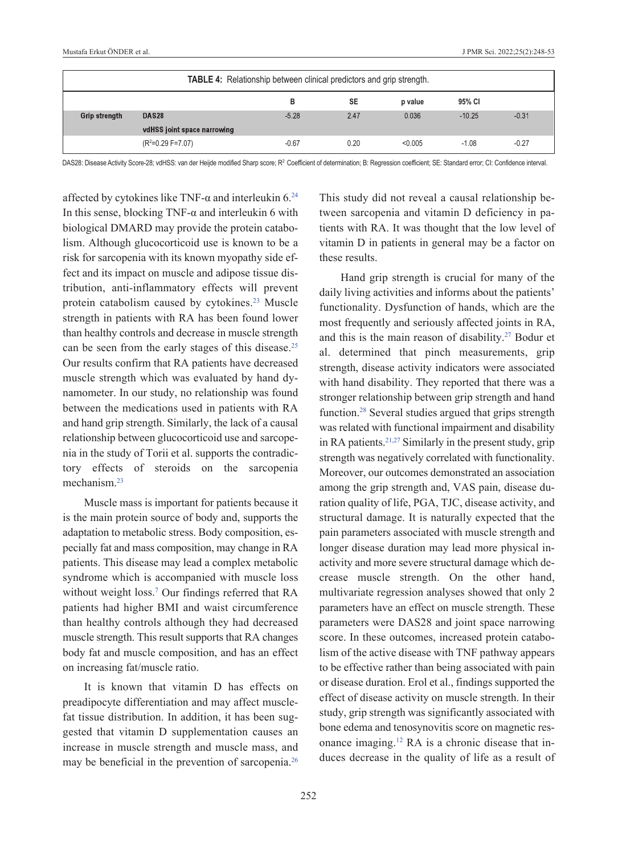| <b>TABLE 4:</b> Relationship between clinical predictors and grip strength. |                             |         |           |         |          |         |
|-----------------------------------------------------------------------------|-----------------------------|---------|-----------|---------|----------|---------|
|                                                                             |                             |         | <b>SE</b> | p value | 95% CI   |         |
| <b>Grip strength</b>                                                        | DAS <sub>28</sub>           | $-5.28$ | 2.47      | 0.036   | $-10.25$ | $-0.31$ |
|                                                                             | vdHSS joint space narrowing |         |           |         |          |         |
|                                                                             | $(R2=0.29 F=7.07)$          | $-0.67$ | 0.20      | < 0.005 | $-1.08$  | $-0.27$ |

DAS28: Disease Activity Score-28; vdHSS: van der Heijde modified Sharp score; R<sup>2</sup>: Coefficient of determination; B: Regression coefficient; SE: Standard error; CI: Confidence interval.

affected by cytokines like TNF- $\alpha$  and interleukin 6.<sup>24</sup> In this sense, blocking TNF- $\alpha$  and interleukin 6 with biological DMARD may provide the protein catabolism. Although glucocorticoid use is known to be a risk for sarcopenia with its known myopathy side effect and its impact on muscle and adipose tissue distribution, anti-inflammatory effects will prevent protein catabolism caused by cytokines.<sup>23</sup> Muscle strength in patients with RA has been found lower than healthy controls and decrease in muscle strength can be seen from the early stages of this disease.<sup>25</sup> Our results confirm that RA patients have decreased muscle strength which was evaluated by hand dynamometer. In our study, no relationship was found between the medications used in patients with RA and hand grip strength. Similarly, the lack of a causal relationship between glucocorticoid use and sarcopenia in the study of Torii et al. supports the contradictory effects of steroids on the sarcopenia mechanism.<sup>23</sup>

Muscle mass is important for patients because it is the main protein source of body and, supports the adaptation to metabolic stress. Body composition, especially fat and mass composition, may change in RA patients. This disease may lead a complex metabolic syndrome which is accompanied with muscle loss without weight loss[.7](#page-5-0) Our findings referred that RA patients had higher BMI and waist circumference than healthy controls although they had decreased muscle strength. This result supports that RA changes body fat and muscle composition, and has an effect on increasing fat/muscle ratio.

It is known that vitamin D has effects on preadipocyte differentiation and may affect musclefat tissue distribution. In addition, it has been suggested that vitamin D supplementation causes an increase in muscle strength and muscle mass, and may be beneficial in the prevention of sarcopenia[.26](#page-5-0) <span id="page-4-0"></span>This study did not reveal a causal relationship between sarcopenia and vitamin D deficiency in patients with RA. It was thought that the low level of vitamin D in patients in general may be a factor on these results.

Hand grip strength is crucial for many of the daily living activities and informs about the patients' functionality. Dysfunction of hands, which are the most frequently and seriously affected joints in RA, and this is the main reason of disability.<sup>27</sup> Bodur et al. determined that pinch measurements, grip strength, disease activity indicators were associated with hand disability. They reported that there was a stronger relationship between grip strength and hand function[.28](#page-5-0) Several studies argued that grips strength was related with functional impairment and disability in RA patients[.21,27](#page-5-0) Similarly in the present study, grip strength was negatively correlated with functionality. Moreover, our outcomes demonstrated an association among the grip strength and, VAS pain, disease duration quality of life, PGA, TJC, disease activity, and structural damage. It is naturally expected that the pain parameters associated with muscle strength and longer disease duration may lead more physical inactivity and more severe structural damage which decrease muscle strength. On the other hand, multivariate regression analyses showed that only 2 parameters have an effect on muscle strength. These parameters were DAS28 and joint space narrowing score. In these outcomes, increased protein catabolism of the active disease with TNF pathway appears to be effective rather than being associated with pain or disease duration. Erol et al., findings supported the effect of disease activity on muscle strength. In their study, grip strength was significantly associated with bone edema and tenosynovitis score on magnetic resonance imaging[.12](#page-5-0) RA is a chronic disease that induces decrease in the quality of life as a result of